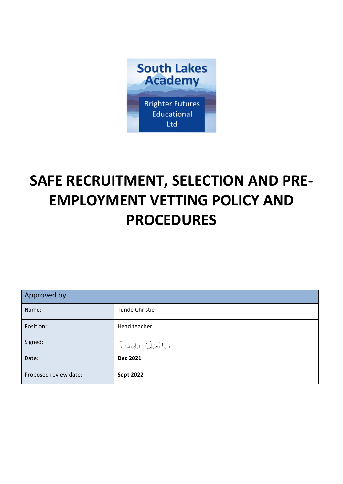

# **SAFE RECRUITMENT, SELECTION AND PRE-EMPLOYMENT VETTING POLICY AND PROCEDURES**

| Approved by           |                       |  |
|-----------------------|-----------------------|--|
| Name:                 | <b>Tunde Christie</b> |  |
| Position:             | Head teacher          |  |
| Signed:               | Turde Christic        |  |
| Date:                 | <b>Dec 2021</b>       |  |
| Proposed review date: | <b>Sept 2022</b>      |  |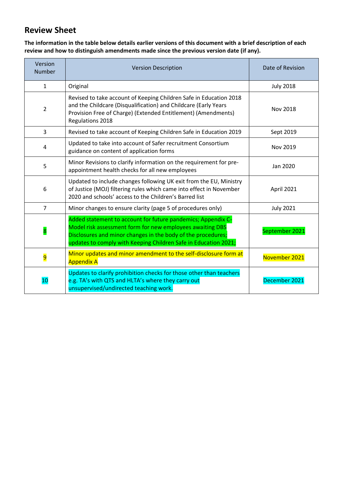## **Review Sheet**

**The information in the table below details earlier versions of this document with a brief description of each review and how to distinguish amendments made since the previous version date (if any).** 

| Version<br><b>Number</b> | <b>Version Description</b>                                                                                                                                                                                                                                   | Date of Revision |
|--------------------------|--------------------------------------------------------------------------------------------------------------------------------------------------------------------------------------------------------------------------------------------------------------|------------------|
| $\mathbf{1}$             | Original                                                                                                                                                                                                                                                     | <b>July 2018</b> |
| $\overline{2}$           | Revised to take account of Keeping Children Safe in Education 2018<br>and the Childcare (Disqualification) and Childcare (Early Years<br>Provision Free of Charge) (Extended Entitlement) (Amendments)<br>Regulations 2018                                   | <b>Nov 2018</b>  |
| 3                        | Revised to take account of Keeping Children Safe in Education 2019                                                                                                                                                                                           | Sept 2019        |
| 4                        | Updated to take into account of Safer recruitment Consortium<br>guidance on content of application forms                                                                                                                                                     | Nov 2019         |
| 5                        | Minor Revisions to clarify information on the requirement for pre-<br>appointment health checks for all new employees                                                                                                                                        | Jan 2020         |
| 6                        | Updated to include changes following UK exit from the EU, Ministry<br>of Justice (MOJ) filtering rules which came into effect in November<br>2020 and schools' access to the Children's Barred list                                                          | April 2021       |
| $\overline{7}$           | Minor changes to ensure clarity (page 5 of procedures only)                                                                                                                                                                                                  | <b>July 2021</b> |
| 8                        | Added statement to account for future pandemics; Appendix C-<br>Model risk assessment form for new employees awaiting DBS<br>Disclosures and minor changes in the body of the procedures;<br>updates to comply with Keeping Children Safe in Education 2021; | September 2021   |
| 9                        | Minor updates and minor amendment to the self-disclosure form at<br><b>Appendix A</b>                                                                                                                                                                        | November 2021    |
| 10                       | Updates to clarify prohibition checks for those other than teachers<br>e.g. TA's with QTS and HLTA's where they carry out<br>unsupervised/undirected teaching work.                                                                                          | December 2021    |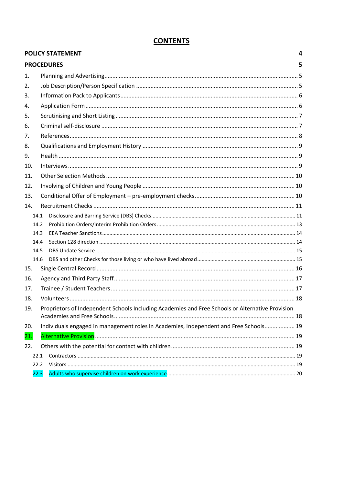|     | <b>POLICY STATEMENT</b> |                                                                                                  | 4 |
|-----|-------------------------|--------------------------------------------------------------------------------------------------|---|
|     |                         | <b>PROCEDURES</b>                                                                                | 5 |
| 1.  |                         |                                                                                                  |   |
| 2.  |                         |                                                                                                  |   |
| 3.  |                         |                                                                                                  |   |
| 4.  |                         |                                                                                                  |   |
| 5.  |                         |                                                                                                  |   |
| 6.  |                         |                                                                                                  |   |
| 7.  |                         |                                                                                                  |   |
| 8.  |                         |                                                                                                  |   |
| 9.  |                         |                                                                                                  |   |
| 10. |                         |                                                                                                  |   |
| 11. |                         |                                                                                                  |   |
| 12. |                         |                                                                                                  |   |
| 13. |                         |                                                                                                  |   |
| 14. |                         |                                                                                                  |   |
|     | 14.1                    |                                                                                                  |   |
|     | 14.2                    |                                                                                                  |   |
|     | 14.3                    |                                                                                                  |   |
|     | 14.4                    |                                                                                                  |   |
|     | 14.5                    |                                                                                                  |   |
|     | 14.6                    |                                                                                                  |   |
| 15. |                         |                                                                                                  |   |
| 16. |                         |                                                                                                  |   |
| 17. |                         |                                                                                                  |   |
| 18. |                         |                                                                                                  |   |
| 19. |                         | Proprietors of Independent Schools Including Academies and Free Schools or Alternative Provision |   |
| 20. |                         | Individuals engaged in management roles in Academies, Independent and Free Schools 19            |   |
|     |                         |                                                                                                  |   |
| 21. |                         |                                                                                                  |   |
| 22. |                         |                                                                                                  |   |
|     | 22.1<br>22.2            |                                                                                                  |   |
|     | 22.3                    |                                                                                                  |   |
|     |                         |                                                                                                  |   |

## **CONTENTS**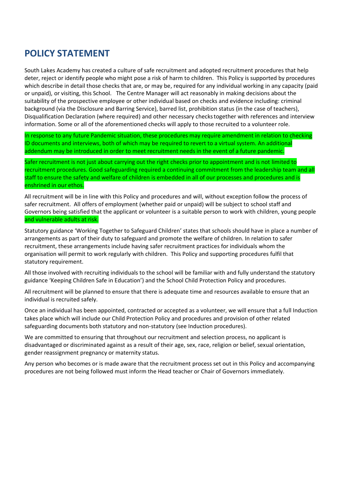# <span id="page-3-0"></span>**POLICY STATEMENT**

South Lakes Academy has created a culture of safe recruitment and adopted recruitment procedures that help deter, reject or identify people who might pose a risk of harm to children. This Policy is supported by procedures which describe in detail those checks that are, or may be, required for any individual working in any capacity (paid or unpaid), or visiting, this School. The Centre Manager will act reasonably in making decisions about the suitability of the prospective employee or other individual based on checks and evidence including: criminal background (via the Disclosure and Barring Service), barred list, prohibition status (in the case of teachers), Disqualification Declaration (where required) and other necessary checkstogether with references and interview information. Some or all of the aforementioned checks will apply to those recruited to a volunteer role.

In response to any future Pandemic situation, these procedures may require amendment in relation to checking ID documents and interviews, both of which may be required to revert to a virtual system. An additional addendum may be introduced in order to meet recruitment needs in the event of a future pandemic.

Safer recruitment is not just about carrying out the right checks prior to appointment and is not limited to recruitment procedures. Good safeguarding required a continuing commitment from the leadership team and all staff to ensure the safety and welfare of children is embedded in all of our processes and procedures and is enshrined in our ethos.

All recruitment will be in line with this Policy and procedures and will, without exception follow the process of safer recruitment. All offers of employment (whether paid or unpaid) will be subject to school staff and Governors being satisfied that the applicant or volunteer is a suitable person to work with children, young people and vulnerable adults at risk.

Statutory guidance 'Working Together to Safeguard Children' states that schools should have in place a number of arrangements as part of their duty to safeguard and promote the welfare of children. In relation to safer recruitment, these arrangements include having safer recruitment practices for individuals whom the organisation will permit to work regularly with children. This Policy and supporting procedures fulfil that statutory requirement.

All those involved with recruiting individuals to the school will be familiar with and fully understand the statutory guidance 'Keeping Children Safe in Education') and the School Child Protection Policy and procedures.

All recruitment will be planned to ensure that there is adequate time and resources available to ensure that an individual is recruited safely.

Once an individual has been appointed, contracted or accepted as a volunteer, we will ensure that a full Induction takes place which will include our Child Protection Policy and procedures and provision of other related safeguarding documents both statutory and non-statutory (see Induction procedures).

We are committed to ensuring that throughout our recruitment and selection process, no applicant is disadvantaged or discriminated against as a result of their age, sex, race, religion or belief, sexual orientation, gender reassignment pregnancy or maternity status.

Any person who becomes or is made aware that the recruitment process set out in this Policy and accompanying procedures are not being followed must inform the Head teacher or Chair of Governors immediately.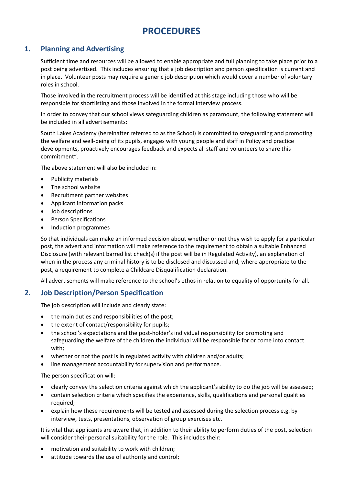# **PROCEDURES**

## <span id="page-4-1"></span><span id="page-4-0"></span>**1. Planning and Advertising**

Sufficient time and resources will be allowed to enable appropriate and full planning to take place prior to a post being advertised. This includes ensuring that a job description and person specification is current and in place. Volunteer posts may require a generic job description which would cover a number of voluntary roles in school.

Those involved in the recruitment process will be identified at this stage including those who will be responsible for shortlisting and those involved in the formal interview process.

In order to convey that our school views safeguarding children as paramount, the following statement will be included in all advertisements:

South Lakes Academy (hereinafter referred to as the School) is committed to safeguarding and promoting the welfare and well-being of its pupils, engages with young people and staff in Policy and practice developments, proactively encourages feedback and expects all staff and volunteers to share this commitment".

The above statement will also be included in:

- Publicity materials
- The school website
- Recruitment partner websites
- Applicant information packs
- Job descriptions
- Person Specifications
- Induction programmes

So that individuals can make an informed decision about whether or not they wish to apply for a particular post, the advert and information will make reference to the requirement to obtain a suitable Enhanced Disclosure (with relevant barred list check(s) if the post will be in Regulated Activity), an explanation of when in the process any criminal history is to be disclosed and discussed and, where appropriate to the post, a requirement to complete a Childcare Disqualification declaration.

All advertisements will make reference to the school's ethos in relation to equality of opportunity for all.

## <span id="page-4-2"></span>**2. Job Description/Person Specification**

The job description will include and clearly state:

- the main duties and responsibilities of the post;
- the extent of contact/responsibility for pupils;
- the school's expectations and the post-holder's individual responsibility for promoting and safeguarding the welfare of the children the individual will be responsible for or come into contact with;
- whether or not the post is in regulated activity with children and/or adults;
- line management accountability for supervision and performance.

The person specification will:

- clearly convey the selection criteria against which the applicant's ability to do the job will be assessed;
- contain selection criteria which specifies the experience, skills, qualifications and personal qualities required;
- explain how these requirements will be tested and assessed during the selection process e.g. by interview, tests, presentations, observation of group exercises etc.

It is vital that applicants are aware that, in addition to their ability to perform duties of the post, selection will consider their personal suitability for the role. This includes their:

- motivation and suitability to work with children;
- attitude towards the use of authority and control;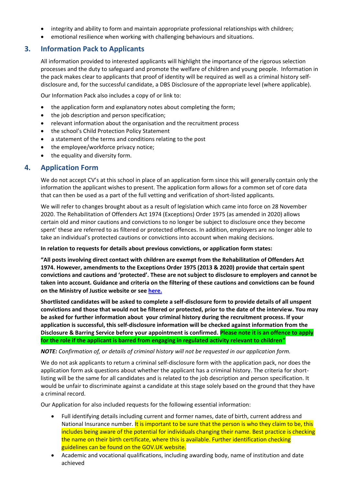- integrity and ability to form and maintain appropriate professional relationships with children;
- emotional resilience when working with challenging behaviours and situations.

## <span id="page-5-0"></span>**3. Information Pack to Applicants**

All information provided to interested applicants will highlight the importance of the rigorous selection processes and the duty to safeguard and promote the welfare of children and young people. Information in the pack makes clear to applicants that proof of identity will be required as well as a criminal history selfdisclosure and, for the successful candidate, a DBS Disclosure of the appropriate level (where applicable).

Our Information Pack also includes a copy of or link to:

- the application form and explanatory notes about completing the form;
- the job description and person specification;
- relevant information about the organisation and the recruitment process
- the school's Child Protection Policy Statement
- a statement of the terms and conditions relating to the post
- the employee/workforce privacy notice;
- the equality and diversity form.

## <span id="page-5-1"></span>**4. Application Form**

We do not accept CV's at this school in place of an application form since this will generally contain only the information the applicant wishes to present. The application form allows for a common set of core data that can then be used as a part of the full vetting and verification of short-listed applicants.

We will refer to changes brought about as a result of legislation which came into force on 28 November 2020. The Rehabilitation of Offenders Act 1974 (Exceptions) Order 1975 (as amended in 2020) allows certain old and minor cautions and convictions to no longer be subject to disclosure once they become spent' these are referred to as filtered or protected offences. In addition, employers are no longer able to take an individual's protected cautions or convictions into account when making decisions.

#### **In relation to requests for details about previous convictions, or application form states:**

**"All posts involving direct contact with children are exempt from the Rehabilitation of Offenders Act 1974. However, amendments to the Exceptions Order 1975 (2013 & 2020) provide that certain spent convictions and cautions and 'protected'. These are not subject to disclosure to employers and cannot be taken into account. Guidance and criteria on the filtering of these cautions and convictions can be found on the Ministry of Justice website or se[e here.](http://hub.unlock.org.uk/wp-content/uploads/What-will-be-filtered-by-the-DBS.pdf)**

**Shortlisted candidates will be asked to complete a self-disclosure form to provide details of all unspent convictions and those that would not be filtered or protected, prior to the date of the interview. You may be asked for further information about your criminal history during the recruitment process. If your application is successful, this self-disclosure information will be checked against information from the Disclosure & Barring Service before your appointment is confirmed. Please note it is an offence to apply for the role if the applicant is barred from engaging in regulated activity relevant to children"**

#### *NOTE: Confirmation of, or details of criminal history will not be requested in our application form.*

We do not ask applicants to return a criminal self-disclosure form with the application pack, nor does the application form ask questions about whether the applicant has a criminal history. The criteria for shortlisting will be the same for all candidates and is related to the job description and person specification. It would be unfair to discriminate against a candidate at this stage solely based on the ground that they have a criminal record.

Our Application for also included requests for the following essential information:

- Full identifying details including current and former names, date of birth, current address and National Insurance number. It is important to be sure that the person is who they claim to be, this includes being aware of the potential for individuals changing their name. Best practice is checking the name on their birth certificate, where this is available. Further identification checking guidelines can be found on the GOV.UK website.
- Academic and vocational qualifications, including awarding body, name of institution and date achieved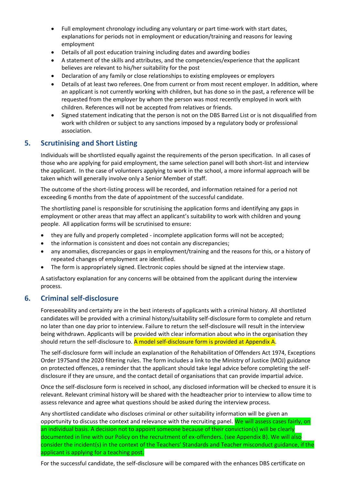- Full employment chronology including any voluntary or part time-work with start dates, explanations for periods not in employment or education/training and reasons for leaving employment
- Details of all post education training including dates and awarding bodies
- A statement of the skills and attributes, and the competencies/experience that the applicant believes are relevant to his/her suitability for the post
- Declaration of any family or close relationships to existing employees or employers
- Details of at least two referees. One from current or from most recent employer. In addition, where an applicant is not currently working with children, but has done so in the past, a reference will be requested from the employer by whom the person was most recently employed in work with children. References will not be accepted from relatives or friends.
- Signed statement indicating that the person is not on the DBS Barred List or is not disqualified from work with children or subject to any sanctions imposed by a regulatory body or professional association.

## <span id="page-6-0"></span>**5. Scrutinising and Short Listing**

Individuals will be shortlisted equally against the requirements of the person specification. In all cases of those who are applying for paid employment, the same selection panel will both short-list and interview the applicant. In the case of volunteers applying to work in the school, a more informal approach will be taken which will generally involve only a Senior Member of staff.

The outcome of the short-listing process will be recorded, and information retained for a period not exceeding 6 months from the date of appointment of the successful candidate.

The shortlisting panel is responsible for scrutinising the application forms and identifying any gaps in employment or other areas that may affect an applicant's suitability to work with children and young people. All application forms will be scrutinised to ensure:

- they are fully and properly completed incomplete application forms will not be accepted;
- the information is consistent and does not contain any discrepancies;
- any anomalies, discrepancies or gaps in employment/training and the reasons for this, or a history of repeated changes of employment are identified.
- The form is appropriately signed. Electronic copies should be signed at the interview stage.

A satisfactory explanation for any concerns will be obtained from the applicant during the interview process.

## <span id="page-6-1"></span>**6. Criminal self-disclosure**

Foreseeability and certainty are in the best interests of applicants with a criminal history. All shortlisted candidates will be provided with a criminal history/suitability self-disclosure form to complete and return no later than one day prior to interview. Failure to return the self-disclosure will result in the interview being withdrawn. Applicants will be provided with clear information about who in the organisation they should return the self-disclosure to. A model self-disclosure form is provided at Appendix A.

The self-disclosure form will include an explanation of the Rehabilitation of Offenders Act 1974, Exceptions Order 1975and the 2020 filtering rules. The form includes a link to the Ministry of Justice (MOJ) guidance on protected offences, a reminder that the applicant should take legal advice before completing the selfdisclosure if they are unsure, and the contact detail of organisations that can provide impartial advice.

Once the self-disclosure form is received in school, any disclosed information will be checked to ensure it is relevant. Relevant criminal history will be shared with the headteacher prior to interview to allow time to assess relevance and agree what questions should be asked during the interview process.

Any shortlisted candidate who discloses criminal or other suitability information will be given an opportunity to discuss the context and relevance with the recruiting panel. We will assess cases fairly, on an individual basis. A decision not to appoint someone because of their conviction(s) will be clearly documented in line with our Policy on the recruitment of ex-offenders. (see Appendix B). We will also consider the incident(s) in the context of the Teachers' Standards and Teacher misconduct guidance, if the applicant is applying for a teaching post.

For the successful candidate, the self-disclosure will be compared with the enhances DBS certificate on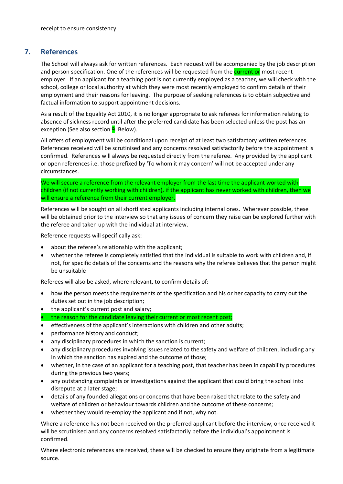receipt to ensure consistency.

## <span id="page-7-0"></span>**7. References**

The School will always ask for written references. Each request will be accompanied by the job description and person specification. One of the references will be requested from the current or most recent employer. If an applicant for a teaching post is not currently employed as a teacher, we will check with the school, college or local authority at which they were most recently employed to confirm details of their employment and their reasons for leaving. The purpose of seeking references is to obtain subjective and factual information to support appointment decisions.

As a result of the Equality Act 2010, it is no longer appropriate to ask referees for information relating to absence of sickness record until after the preferred candidate has been selected unless the post has an exception (See also section **9**. Below).

All offers of employment will be conditional upon receipt of at least two satisfactory written references. References received will be scrutinised and any concerns resolved satisfactorily before the appointment is confirmed. References will always be requested directly from the referee. Any provided by the applicant or open references i.e. those prefixed by 'To whom it may concern' will not be accepted under any circumstances.

We will secure a reference from the relevant employer from the last time the applicant worked with children (if not currently working with children), if the applicant has never worked with children, then we will ensure a reference from their current employer.

References will be sought on all shortlisted applicants including internal ones. Wherever possible, these will be obtained prior to the interview so that any issues of concern they raise can be explored further with the referee and taken up with the individual at interview.

Reference requests will specifically ask:

- about the referee's relationship with the applicant;
- whether the referee is completely satisfied that the individual is suitable to work with children and, if not, for specific details of the concerns and the reasons why the referee believes that the person might be unsuitable

Referees will also be asked, where relevant, to confirm details of:

- how the person meets the requirements of the specification and his or her capacity to carry out the duties set out in the job description;
- the applicant's current post and salary;
- the reason for the candidate leaving their current or most recent post;
- effectiveness of the applicant's interactions with children and other adults;
- performance history and conduct;
- any disciplinary procedures in which the sanction is current;
- any disciplinary procedures involving issues related to the safety and welfare of children, including any in which the sanction has expired and the outcome of those;
- whether, in the case of an applicant for a teaching post, that teacher has been in capability procedures during the previous two years;
- any outstanding complaints or investigations against the applicant that could bring the school into disrepute at a later stage;
- details of any founded allegations or concerns that have been raised that relate to the safety and welfare of children or behaviour towards children and the outcome of these concerns;
- whether they would re-employ the applicant and if not, why not.

Where a reference has not been received on the preferred applicant before the interview, once received it will be scrutinised and any concerns resolved satisfactorily before the individual's appointment is confirmed.

Where electronic references are received, these will be checked to ensure they originate from a legitimate source.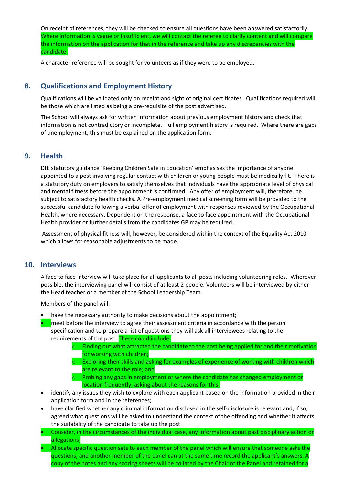On receipt of references, they will be checked to ensure all questions have been answered satisfactorily. Where information is vague or insufficient, we will contact the referee to clarify content and will compare the information on the application for that in the reference and take up any discrepancies with the candidate.

A character reference will be sought for volunteers as if they were to be employed.

## <span id="page-8-0"></span>**8. Qualifications and Employment History**

Qualifications will be validated only on receipt and sight of original certificates. Qualifications required will be those which are listed as being a pre-requisite of the post advertised.

The School will always ask for written information about previous employment history and check that information is not contradictory or incomplete. Full employment history is required. Where there are gaps of unemployment, this must be explained on the application form.

## <span id="page-8-1"></span>**9. Health**

DfE statutory guidance 'Keeping Children Safe in Education' emphasises the importance of anyone appointed to a post involving regular contact with children or young people must be medically fit. There is a statutory duty on employers to satisfy themselves that individuals have the appropriate level of physical and mental fitness before the appointment is confirmed. Any offer of employment will, therefore, be subject to satisfactory health checks. A Pre-employment medical screening form will be provided to the successful candidate following a verbal offer of employment with responses reviewed by the Occupational Health, where necessary, Dependent on the response, a face to face appointment with the Occupational Health provider or further details from the candidates GP may be required.

Assessment of physical fitness will, however, be considered within the context of the Equality Act 2010 which allows for reasonable adjustments to be made.

#### <span id="page-8-2"></span>**10. Interviews**

A face to face interview will take place for all applicants to all posts including volunteering roles. Wherever possible, the interviewing panel will consist of at least 2 people. Volunteers will be interviewed by either the Head teacher or a member of the School Leadership Team.

Members of the panel will:

- have the necessary authority to make decisions about the appointment;
- meet before the interview to agree their assessment criteria in accordance with the person specification and to prepare a list of questions they will ask all interviewees relating to the requirements of the post. These could include:
	- $\circ$  Finding out what attracted the candidate to the post being applied for and their motivation for working with children;
	- $\circ$  Exploring their skills and asking for examples of experience of working with children which are relevant to the role; and
	- $\circ$  Probing any gaps in employment or where the candidate has changed employment or location frequently, asking about the reasons for this;
- identify any issues they wish to explore with each applicant based on the information provided in their application form and in the references;
- have clarified whether any criminal information disclosed in the self-disclosure is relevant and, if so, agreed what questions will be asked to understand the context of the offending and whether it affects the suitability of the candidate to take up the post.
- Consider, in the circumstances of the individual case, any information about past disciplinary action or allegations;
- Allocate specific question sets to each member of the panel which will ensure that someone asks the questions, and another member of the panel can at the same time record the applicant's answers. A copy of the notes and any scoring sheets will be collated by the Chair of the Panel and retained for a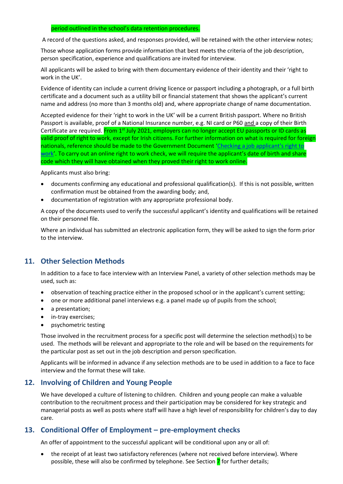#### period outlined in the school's data retention procedures.

A record of the questions asked, and responses provided, will be retained with the other interview notes;

Those whose application forms provide information that best meets the criteria of the job description, person specification, experience and qualifications are invited for interview.

All applicants will be asked to bring with them documentary evidence of their identity and their 'right to work in the UK'.

Evidence of identity can include a current driving licence or passport including a photograph, or a full birth certificate and a document such as a utility bill or financial statement that shows the applicant's current name and address (no more than 3 months old) and, where appropriate change of name documentation.

Accepted evidence for their 'right to work in the UK' will be a current British passport. Where no British Passport is available, proof of a National Insurance number, e.g. NI card or P60 and a copy of their Birth Certificate are required. From 1<sup>st</sup> July 2021, employers can no longer accept EU passports or ID cards as valid proof of right to work, except for Irish citizens. For further information on what is required for foreign nationals, reference should be made to the Government Document 'Checking a job applicant's right to [work](https://www.gov.uk/check-job-applicant-right-to-work)'. To carry out an online right to work check, we will require the applicant's date of birth and share code which they will have obtained when they proved their right to work online.

Applicants must also bring:

- documents confirming any educational and professional qualification(s). If this is not possible, written confirmation must be obtained from the awarding body; and,
- documentation of registration with any appropriate professional body.

A copy of the documents used to verify the successful applicant's identity and qualifications will be retained on their personnel file.

Where an individual has submitted an electronic application form, they will be asked to sign the form prior to the interview.

## <span id="page-9-0"></span>**11. Other Selection Methods**

In addition to a face to face interview with an Interview Panel, a variety of other selection methods may be used, such as:

- observation of teaching practice either in the proposed school or in the applicant's current setting;
- one or more additional panel interviews e.g. a panel made up of pupils from the school;
- a presentation;
- in-tray exercises;
- psychometric testing

Those involved in the recruitment process for a specific post will determine the selection method(s) to be used. The methods will be relevant and appropriate to the role and will be based on the requirements for the particular post as set out in the job description and person specification.

Applicants will be informed in advance if any selection methods are to be used in addition to a face to face interview and the format these will take.

## <span id="page-9-1"></span>**12. Involving of Children and Young People**

We have developed a culture of listening to children. Children and young people can make a valuable contribution to the recruitment process and their participation may be considered for key strategic and managerial posts as well as posts where staff will have a high level of responsibility for children's day to day care.

## <span id="page-9-2"></span>**13. Conditional Offer of Employment – pre-employment checks**

An offer of appointment to the successful applicant will be conditional upon any or all of:

the receipt of at least two satisfactory references (where not received before interview). Where possible, these will also be confirmed by telephone. See Section 7 for further details;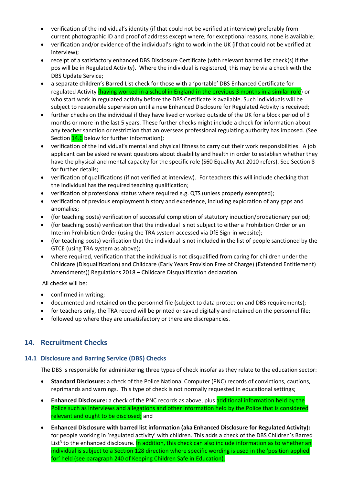- verification of the individual's identity (if that could not be verified at interview) preferably from current photographic ID and proof of address except where, for exceptional reasons, none is available;
- verification and/or evidence of the individual's right to work in the UK (if that could not be verified at interview);
- receipt of a satisfactory enhanced DBS Disclosure Certificate (with relevant barred list check(s) if the pos will be in Regulated Activity). Where the individual is registered, this may be via a check with the DBS Update Service;
- a separate children's Barred List check for those with a 'portable' DBS Enhanced Certificate for regulated Activity (having worked in a school in England in the previous 3 months in a similar role) or who start work in regulated activity before the DBS Certificate is available. Such individuals will be subject to reasonable supervision until a new Enhanced Disclosure for Regulated Activity is received;
- further checks on the individual if they have lived or worked outside of the UK for a block period of 3 months or more in the last 5 years. These further checks might include a check for information about any teacher sanction or restriction that an overseas professional regulating authority has imposed. (See Section **14.6** below for further information);
- verification of the individual's mental and physical fitness to carry out their work responsibilities. A job applicant can be asked relevant questions about disability and health in order to establish whether they have the physical and mental capacity for the specific role (S60 Equality Act 2010 refers). See Section 8 for further details;
- verification of qualifications (if not verified at interview). For teachers this will include checking that the individual has the required teaching qualification;
- verification of professional status where required e.g. QTS (unless properly exempted);
- verification of previous employment history and experience, including exploration of any gaps and anomalies;
- (for teaching posts) verification of successful completion of statutory induction/probationary period;
- (for teaching posts) verification that the individual is not subject to either a Prohibition Order or an Interim Prohibition Order (using the TRA system accessed via DfE Sign-in website);
- (for teaching posts) verification that the individual is not included in the list of people sanctioned by the GTCE (using TRA system as above);
- where required, verification that the individual is not disqualified from caring for children under the Childcare (Disqualification) and Childcare (Early Years Provision Free of Charge) (Extended Entitlement) Amendments)) Regulations 2018 – Childcare Disqualification declaration.

All checks will be:

- confirmed in writing;
- documented and retained on the personnel file (subject to data protection and DBS requirements);
- for teachers only, the TRA record will be printed or saved digitally and retained on the personnel file;
- followed up where they are unsatisfactory or there are discrepancies.

## <span id="page-10-0"></span>**14. Recruitment Checks**

#### <span id="page-10-1"></span>**14.1 Disclosure and Barring Service (DBS) Checks**

The DBS is responsible for administering three types of check insofar as they relate to the education sector:

- **Standard Disclosure:** a check of the Police National Computer (PNC) records of convictions, cautions, reprimands and warnings. This type of check is not normally requested in educational settings;
- **Enhanced Disclosure:** a check of the PNC records as above, plus additional information held by the Police such as interviews and allegations and other information held by the Police that is considered relevant and ought to be disclosed; and
- **Enhanced Disclosure with barred list information (aka Enhanced Disclosure for Regulated Activity):**  for people working in 'regulated activity' with children. This adds a check of the DBS Children's Barred List<sup>3</sup> to the enhanced disclosure. In addition, this check can also include information as to whether an individual is subject to a Section 128 direction where specific wording is used in the 'position applied for' held (see paragraph 240 of Keeping Children Safe in Education).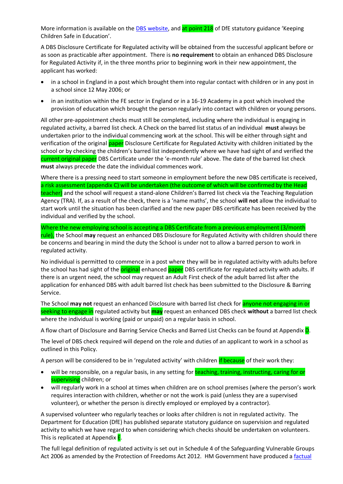More information is available on the [DBS website,](https://www.gov.uk/government/organisations/disclosure-and-barring-service/about) and at point 218 of DfE statutory guidance 'Keeping Children Safe in Education'.

A DBS Disclosure Certificate for Regulated activity will be obtained from the successful applicant before or as soon as practicable after appointment. There is **no requirement** to obtain an enhanced DBS Disclosure for Regulated Activity if, in the three months prior to beginning work in their new appointment, the applicant has worked:

- in a school in England in a post which brought them into regular contact with children or in any post in a school since 12 May 2006; or
- in an institution within the FE sector in England or in a 16-19 Academy in a post which involved the provision of education which brought the person regularly into contact with children or young persons.

All other pre-appointment checks must still be completed, including where the individual is engaging in regulated activity, a barred list check. A Check on the barred list status of an individual **must** always be undertaken prior to the individual commencing work at the school. This will be either through sight and verification of the original **paper** Disclosure Certificate for Regulated Activity with children initiated by the school or by checking the children's barred list independently where we have had sight of and verified the current original paper DBS Certificate under the 'e-month rule' above. The date of the barred list check **must** always precede the date the individual commences work.

Where there is a pressing need to start someone in employment before the new DBS certificate is received, a risk assessment (appendix C) will be undertaken (the outcome of which will be confirmed by the Head teacher) and the school will request a stand-alone Children's Barred list check via the Teaching Regulation Agency (TRA). If, as a result of the check, there is a 'name maths', the school **will not** allow the individual to start work until the situation has been clarified and the new paper DBS certificate has been received by the individual and verified by the school.

Where the new employing school is accepting a DBS Certificate from a previous employment (3/month rule), the School **may** request an enhanced DBS Disclosure for Regulated Activity with children should there be concerns and bearing in mind the duty the School is under not to allow a barred person to work in regulated activity.

No individual is permitted to commence in a post where they will be in regulated activity with adults before the school has had sight of the **original** enhanced **paper** DBS certificate for regulated activity with adults. If there is an urgent need, the school may request an Adult First check of the adult barred list after the application for enhanced DBS with adult barred list check has been submitted to the Disclosure & Barring Service.

The School **may not** request an enhanced Disclosure with barred list check for anyone not engaging in or seeking to engage in regulated activity but **may** request an enhanced DBS check **without** a barred list check where the individual is working (paid or unpaid) on a regular basis in school.

A flow chart of Disclosure and Barring Service Checks and Barred List Checks can be found at Appendix D.

The level of DBS check required will depend on the role and duties of an applicant to work in a school as outlined in this Policy.

A person will be considered to be in 'regulated activity' with children if because of their work they:

- will be responsible, on a regular basis, in any setting for teaching, training, instructing, caring for or supervising children; or
- will regularly work in a school at times when children are on school premises (where the person's work requires interaction with children, whether or not the work is paid (unless they are a supervised volunteer), or whether the person is directly employed or employed by a contractor).

A supervised volunteer who regularly teaches or looks after children is not in regulated activity. The Department for Education (DfE) has published separate statutory guidance on supervision and regulated activity to which we have regard to when considering which checks should be undertaken on volunteers. This is replicated at Appendix **E**.

The full legal definition of regulated activity is set out in Schedule 4 of the Safeguarding Vulnerable Groups Act 2006 as amended by the Protection of Freedoms Act 2012. HM Government have produced a [factual](https://www.gov.uk/government/uploads/system/uploads/attachment_data/file/249435/dbs-factsheet-regulated-activity-children.pdf)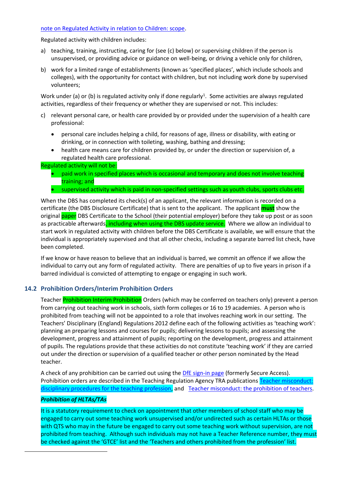#### [note on Regulated Activity in relation to Children: scope.](https://www.gov.uk/government/uploads/system/uploads/attachment_data/file/249435/dbs-factsheet-regulated-activity-children.pdf)

Regulated activity with children includes:

- a) teaching, training, instructing, caring for (see (c) below) or supervising children if the person is unsupervised, or providing advice or guidance on well-being, or driving a vehicle only for children,
- b) work for a limited range of establishments (known as 'specified places', which include schools and colleges), with the opportunity for contact with children, but not including work done by supervised volunteers;

Work under (a) or (b) is regulated activity only if done regularly<sup>1</sup>. Some activities are always regulated activities, regardless of their frequency or whether they are supervised or not. This includes:

- c) relevant personal care, or health care provided by or provided under the supervision of a health care professional:
	- personal care includes helping a child, for reasons of age, illness or disability, with eating or drinking, or in connection with toileting, washing, bathing and dressing;
	- health care means care for children provided by, or under the direction or supervision of, a regulated health care professional.

Regulated activity will not be:

- paid work in specified places which is occasional and temporary and does not involve teaching training; and
- supervised activity which is paid in non-specified settings such as youth clubs, sports clubs etc.

When the DBS has completed its check(s) of an applicant, the relevant information is recorded on a certificate (the DBS Disclosure Certificate) that is sent to the applicant. The applicant **must** show the original paper DBS Certificate to the School (their potential employer) before they take up post or as soon as practicable afterwards, including when using the DBS update service. Where we allow an individual to start work in regulated activity with children before the DBS Certificate is available, we will ensure that the individual is appropriately supervised and that all other checks, including a separate barred list check, have been completed.

If we know or have reason to believe that an individual is barred, we commit an offence if we allow the individual to carry out any form of regulated activity. There are penalties of up to five years in prison if a barred individual is convicted of attempting to engage or engaging in such work.

#### <span id="page-12-0"></span>**14.2 Prohibition Orders/Interim Prohibition Orders**

Teacher Prohibition Interim Prohibition Orders (which may be conferred on teachers only) prevent a person from carrying out teaching work in schools, sixth form colleges or 16 to 19 academies. A person who is prohibited from teaching will not be appointed to a role that involves reaching work in our setting. The Teachers' Disciplinary (England) Regulations 2012 define each of the following activities as 'teaching work': planning an preparing lessons and courses for pupils; delivering lessons to pupils; and assessing the development, progress and attainment of pupils; reporting on the development, progress and attainment of pupils. The regulations provide that these activities do not constitute 'teaching work' if they are carried out under the direction or supervision of a qualified teacher or other person nominated by the Head teacher.

A check of any prohibition can be carried out using the *DfE* sign-in page (formerly Secure Access). Prohibition orders are described in the Teaching Regulation Agency TRA publications [Teacher misconduct:](https://www.gov.uk/government/publications/teacher-misconduct-disciplinary-procedures)  [disciplinary procedures for the teaching profession,](https://www.gov.uk/government/publications/teacher-misconduct-disciplinary-procedures) and [Teacher misconduct: the prohibition of teachers.](https://www.gov.uk/government/publications/teacher-misconduct-the-prohibition-of-teachers--3)

#### *Prohibition of HLTAs/TAs*

It is a statutory requirement to check on appointment that other members of school staff who may be engaged to carry out some teaching work unsupervised and/or undirected such as certain HLTAs or those with QTS who may in the future be engaged to carry out some teaching work without supervision, are not prohibited from teaching. Although such individuals may not have a Teacher Reference number, they must be checked against the 'GTCE' list and the 'Teachers and others prohibited from the profession' list.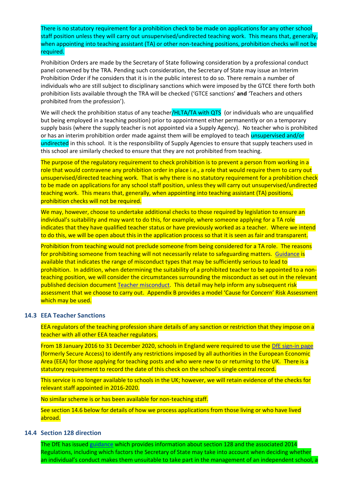There is no statutory requirement for a prohibition check to be made on applications for any other school staff position unless they will carry out unsupervised/undirected teaching work. This means that, generally, when appointing into teaching assistant (TA) or other non-teaching positions, prohibition checks will not be required.

Prohibition Orders are made by the Secretary of State following consideration by a professional conduct panel convened by the TRA. Pending such consideration, the Secretary of State may issue an Interim Prohibition Order if he considers that it is in the public interest to do so. There remain a number of individuals who are still subject to disciplinary sanctions which were imposed by the GTCE there forth both prohibition lists available through the TRA will be checked ('GTCE sanctions' **and** 'Teachers and others prohibited from the profession').

We will check the prohibition status of any teacher/HLTA/TA with QTS (or individuals who are unqualified but being employed in a teaching position) prior to appointment either permanently or on a temporary supply basis (where the supply teacher is not appointed via a Supply Agency). No teacher who is prohibited or has an interim prohibition order made against them will be employed to teach *unsupervised and/or* undirected in this school. It is the responsibility of Supply Agencies to ensure that supply teachers used in this school are similarly checked to ensure that they are not prohibited from teaching.

The purpose of the regulatory requirement to check prohibition is to prevent a person from working in a role that would contravene any prohibition order in place i.e., a role that would require them to carry out unsupervised/directed teaching work. That is why there is no statutory requirement for a prohibition check to be made on applications for any school staff position, unless they will carry out unsupervised/undirected teaching work. This means that, generally, when appointing into teaching assistant (TA) positions, prohibition checks will not be required.

We may, however, choose to undertake additional checks to those required by legislation to ensure an individual's suitability and may want to do this, for example, where someone applying for a TA role indicates that they have qualified teacher status or have previously worked as a teacher. Where we intend to do this, we will be open about this in the application process so that it is seen as fair and transparent.

Prohibition from teaching would not preclude someone from being considered for a TA role. The reasons for prohibiting someone from teaching will not necessarily relate to safeguarding matters. [Guidance](https://www.gov.uk/government/publications/teacher-misconduct-the-prohibition-of-teachers--3) is available that indicates the range of misconduct types that may be sufficiently serious to lead to prohibition. In addition, when determining the suitability of a prohibited teacher to be appointed to a nonteaching position, we will consider the circumstances surrounding the misconduct as set out in the relevant published decision document [Teacher misconduct.](https://www.gov.uk/government/collections/teacher-misconduct) This detail may help inform any subsequent risk assessment that we choose to carry out. Appendix B provides a model 'Cause for Concern' Risk Assessment which may be used.

#### <span id="page-13-0"></span>**14.3 EEA Teacher Sanctions**

EEA regulators of the teaching profession share details of any sanction or restriction that they impose on a teacher with all other EEA teacher regulators.

From 18 January 2016 to 31 December 2020, schools in England were required to use the [DfE sign-in page](https://sa.education.gov.uk/idp/Authn/UserPassword) (formerly Secure Access) to identify any restrictions imposed by all authorities in the European Economic Area (EEA) for those applying for teaching posts and who were new to or returning to the UK. There is a statutory requirement to record the date of this check on the school's single central record.

This service is no longer available to schools in the UK; however, we will retain evidence of the checks for relevant staff appointed in 2016-2020.

No similar scheme is or has been available for non-teaching staff.

See section 14.6 below for details of how we process applications from those living or who have lived abroad.

#### <span id="page-13-1"></span>**14.4 Section 128 direction**

The DfE has issued [guidance](https://assets.publishing.service.gov.uk/government/uploads/system/uploads/attachment_data/file/1006255/Section_128_guidance.pdf) which provides information about section 128 and the associated 2014 Regulations, including which factors the Secretary of State may take into account when deciding whether an individual's conduct makes them unsuitable to take part in the management of an independent school, a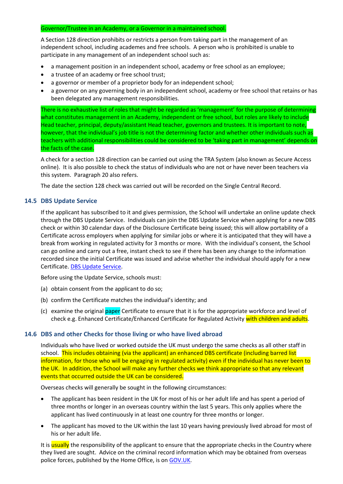#### Governor/Trustee in an Academy, or a Governor in a maintained school.

A Section 128 direction prohibits or restricts a person from taking part in the management of an independent school, including academes and free schools. A person who is prohibited is unable to participate in any management of an independent school such as:

- a management position in an independent school, academy or free school as an employee;
- a trustee of an academy or free school trust;
- a governor or member of a proprietor body for an independent school;
- a governor on any governing body in an independent school, academy or free school that retains or has been delegated any management responsibilities.

There is no exhaustive list of roles that might be regarded as 'management' for the purpose of determining what constitutes management in an Academy, independent or free school, but roles are likely to include Head teacher, principal, deputy/assistant Head teacher, governors and trustees. It is important to note, however, that the individual's job title is not the determining factor and whether other individuals such as teachers with additional responsibilities could be considered to be 'taking part in management' depends on the facts of the case.

A check for a section 128 direction can be carried out using the TRA System (also known as Secure Access online). It is also possible to check the status of individuals who are not or have never been teachers via this system. Paragraph 20 also refers.

The date the section 128 check was carried out will be recorded on the Single Central Record.

#### <span id="page-14-0"></span>**14.5 DBS Update Service**

If the applicant has subscribed to it and gives permission, the School will undertake an online update check through the DBS Update Service. Individuals can join the DBS Update Service when applying for a new DBS check or within 30 calendar days of the Disclosure Certificate being issued; this will allow portability of a Certificate across employers when applying for similar jobs or where it is anticipated that they will have a break from working in regulated activity for 3 months or more. With the individual's consent, the School can go online and carry out a free, instant check to see if there has been any change to the information recorded since the initial Certificate was issued and advise whether the individual should apply for a new Certificate. [DBS Update Service.](http://www.gov.uk/dbs-update-service)

Before using the Update Service, schools must:

- (a) obtain consent from the applicant to do so;
- (b) confirm the Certificate matches the individual's identity; and
- (c) examine the original paper Certificate to ensure that it is for the appropriate workforce and level of check e.g. Enhanced Certificate/Enhanced Certificate for Regulated Activity with children and adults.

#### <span id="page-14-1"></span>**14.6 DBS and other Checks for those living or who have lived abroad**

Individuals who have lived or worked outside the UK must undergo the same checks as all other staff in school. This includes obtaining (via the applicant) an enhanced DBS certificate (including barred list information, for those who will be engaging in regulated activity) even if the individual has never been to the UK. In addition, the School will make any further checks we think appropriate so that any relevant events that occurred outside the UK can be considered.

Overseas checks will generally be sought in the following circumstances:

- The applicant has been resident in the UK for most of his or her adult life and has spent a period of three months or longer in an overseas country within the last 5 years. This only applies where the applicant has lived continuously in at least one country for three months or longer.
- The applicant has moved to the UK within the last 10 years having previously lived abroad for most of his or her adult life.

It is usually the responsibility of the applicant to ensure that the appropriate checks in the Country where they lived are sought. Advice on the criminal record information which may be obtained from overseas police forces, published by the Home Office, is on [GOV.UK.](https://www.gov.uk/government/publications/criminal-records-checks-for-overseas-applicants)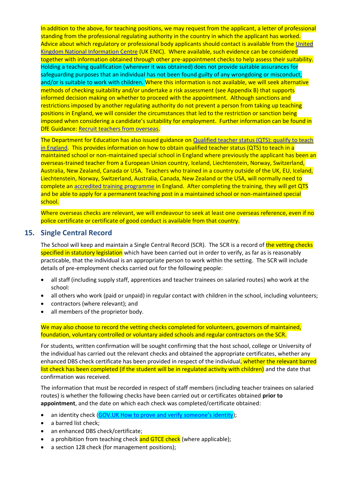In addition to the above, for teaching positions, we may request from the applicant, a letter of professional standing from the professional regulating authority in the country in which the applicant has worked. Advice about which regulatory or professional body applicants should contact is available from the [United](https://www.ecctis.com/)  [Kingdom National Information Centre](https://www.ecctis.com/) (UK ENIC). Where available, such evidence can be considered together with information obtained through other pre-appointment checks to help assess their suitability. Holding a teaching qualification (wherever it was obtained) does not provide suitable assurances for safeguarding purposes that an individual has not been found guilty of any wrongdoing or misconduct, and/or is suitable to work with children. Where this information is not available, we will seek alternative methods of checking suitability and/or undertake a risk assessment (see Appendix B) that supports informed decision making on whether to proceed with the appointment. Although sanctions and restrictions imposed by another regulating authority do not prevent a person from taking up teaching positions in England, we will consider the circumstances that led to the restriction or sanction being imposed when considering a candidate's suitability for employment. Further information can be found in **DfE Guidance: [Recruit teachers from overseas.](https://www.gov.uk/guidance/recruit-teachers-from-overseas)** 

The Department for Education has also issued guidance on [Qualified teacher status \(QTS\): qualify to teach](https://www.gov.uk/government/publications/employing-overseas-trained-teachers-from-outside-the-eea)  [in England.](https://www.gov.uk/government/publications/employing-overseas-trained-teachers-from-outside-the-eea) This provides information on how to obtain qualified teacher status (QTS) to teach in a maintained school or non-maintained special school in England where previously the applicant has been an overseas-trained teacher from a European Union country, Iceland, Liechtenstein, Norway, Switzerland, Australia, New Zealand, Canada or USA. Teachers who trained in a country outside of the UK, EU, Iceland, Liechtenstein, Norway, Switzerland, Australia, Canada, New Zealand or the USA, will normally need to complete an accredited training [programme](http://www.education.gov.uk/get-into-teaching/teacher-training-options/experienced-teachers.aspx) in England. After completing the training, they will get QTS and be able to apply for a permanent teaching post in a maintained school or non-maintained special school.

Where overseas checks are relevant, we will endeavour to seek at least one overseas reference, even if no police certificate or certificate of good conduct is available from that country.

## <span id="page-15-0"></span>**15. Single Central Record**

The School will keep and maintain a Single Central Record (SCR). The SCR is a record of the vetting checks specified in statutory legislation which have been carried out in order to verify, as far as is reasonably practicable, that the individual is an appropriate person to work within the setting. The SCR will include details of pre-employment checks carried out for the following people:

- all staff (including supply staff, apprentices and teacher trainees on salaried routes) who work at the school:
- all others who work (paid or unpaid) in regular contact with children in the school, including volunteers;
- contractors (where relevant); and
- all members of the proprietor body.

We may also choose to record the vetting checks completed for volunteers, governors of maintained, foundation, voluntary controlled or voluntary aided schools and regular contractors on the SCR.

For students, written confirmation will be sought confirming that the host school, college or University of the individual has carried out the relevant checks and obtained the appropriate certificates, whether any enhanced DBS check certificate has been provided in respect of the individual, whether the relevant barred list check has been completed (if the student will be in regulated activity with children) and the date that confirmation was received.

The information that must be recorded in respect of staff members (including teacher trainees on salaried routes) is whether the following checks have been carried out or certificates obtained **prior to appointment**, and the date on which each check was completed/certificate obtained:

- an identity check ([GOV.UK How to prove and verify someone's identity](https://www.gov.uk/government/publications/identity-proofing-and-verification-of-an-individual/how-to-prove-and-verify-someones-identity#strength));
- a barred list check:
- an enhanced DBS check/certificate;
- a prohibition from teaching check and GTCE check (where applicable);
- a section 128 check (for management positions);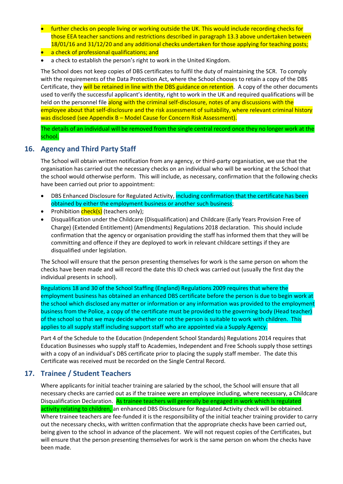- further checks on people living or working outside the UK. This would include recording checks for those EEA teacher sanctions and restrictions described in paragraph 13.3 above undertaken between 18/01/16 and 31/12/20 and any additional checks undertaken for those applying for teaching posts;
- a check of professional qualifications; and
- a check to establish the person's right to work in the United Kingdom.

The School does not keep copies of DBS certificates to fulfil the duty of maintaining the SCR. To comply with the requirements of the Data Protection Act, where the School chooses to retain a copy of the DBS Certificate, they will be retained in line with the DBS guidance on retention. A copy of the other documents used to verify the successful applicant's identity, right to work in the UK and required qualifications will be held on the personnel file along with the criminal self-disclosure, notes of any discussions with the employee about that self-disclosure and the risk assessment of suitability, where relevant criminal history was disclosed (see Appendix B – Model Cause for Concern Risk Assessment).

The details of an individual will be removed from the single central record once they no longer work at the school.

## <span id="page-16-0"></span>**16. Agency and Third Party Staff**

The School will obtain written notification from any agency, or third-party organisation, we use that the organisation has carried out the necessary checks on an individual who will be working at the School that the school would otherwise perform. This will include, as necessary, confirmation that the following checks have been carried out prior to appointment:

- DBS Enhanced Disclosure for Regulated Activity, including confirmation that the certificate has been obtained by either the employment business or another such business;
- Prohibition *check(s)* (teachers only);
- Disqualification under the Childcare (Disqualification) and Childcare (Early Years Provision Free of Charge) (Extended Entitlement) (Amendments) Regulations 2018 declaration. This should include confirmation that the agency or organisation providing the staff has informed them that they will be committing and offence if they are deployed to work in relevant childcare settings if they are disqualified under legislation.

The School will ensure that the person presenting themselves for work is the same person on whom the checks have been made and will record the date this ID check was carried out (usually the first day the individual presents in school).

Regulations 18 and 30 of the School Staffing (England) Regulations 2009 requires that where the employment business has obtained an enhanced DBS certificate before the person is due to begin work at the school which disclosed any matter or information or any information was provided to the employment business from the Police, a copy of the certificate must be provided to the governing body (Head teacher) of the school so that we may decide whether or not the person is suitable to work with children. This applies to all supply staff including support staff who are appointed via a Supply Agency.

Part 4 of the Schedule to the Education (Independent School Standards) Regulations 2014 requires that Education Businesses who supply staff to Academies, Independent and Free Schools supply those settings with a copy of an individual's DBS certificate prior to placing the supply staff member. The date this Certificate was received must be recorded on the Single Central Record.

## <span id="page-16-1"></span>**17. Trainee / Student Teachers**

Where applicants for initial teacher training are salaried by the school, the School will ensure that all necessary checks are carried out as if the trainee were an employee including, where necessary, a Childcare Disqualification Declaration. As trainee teachers will generally be engaged in work which is regulated activity relating to children, an enhanced DBS Disclosure for Regulated Activity check will be obtained. Where trainee teachers are fee-funded it is the responsibility of the initial teacher training provider to carry out the necessary checks, with written confirmation that the appropriate checks have been carried out, being given to the school in advance of the placement. We will not request copies of the Certificates, but will ensure that the person presenting themselves for work is the same person on whom the checks have been made.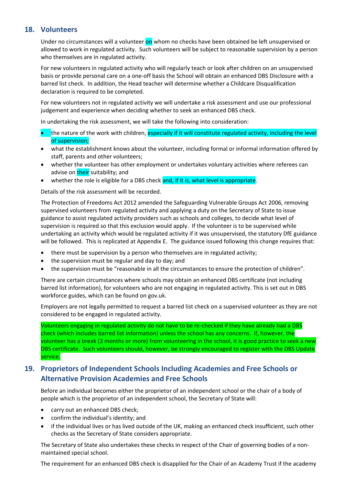## <span id="page-17-0"></span>**18. Volunteers**

Under no circumstances will a volunteer on whom no checks have been obtained be left unsupervised or allowed to work in regulated activity. Such volunteers will be subject to reasonable supervision by a person who themselves are in regulated activity.

For new volunteers in regulated activity who will regularly teach or look after children on an unsupervised basis or provide personal care on a one-off basis the School will obtain an enhanced DBS Disclosure with a barred list check. In addition, the Head teacher will determine whether a Childcare Disqualification declaration is required to be completed.

For new volunteers not in regulated activity we will undertake a risk assessment and use our professional judgement and experience when deciding whether to seek an enhanced DBS check.

In undertaking the risk assessment, we will take the following into consideration:

- the nature of the work with children, especially if it will constitute regulated activity, including the level of supervision;
- what the establishment knows about the volunteer, including formal or informal information offered by staff, parents and other volunteers;
- whether the volunteer has other employment or undertakes voluntary activities where referees can advise on their suitability; and
- whether the role is eligible for a DBS check and, if it is, what level is appropriate.

Details of the risk assessment will be recorded.

The Protection of Freedoms Act 2012 amended the Safeguarding Vulnerable Groups Act 2006, removing supervised volunteers from regulated activity and applying a duty on the Secretary of State to issue guidance to assist regulated activity providers such as schools and colleges, to decide what level of supervision is required so that this exclusion would apply. If the volunteer is to be supervised while undertaking an activity which would be regulated activity if it was unsupervised, the statutory DfE guidance will be followed. This is replicated at Appendix E. The guidance issued following this change requires that:

- there must be supervision by a person who themselves are in regulated activity;
- the supervision must be regular and day to day; and
- the supervision must be "reasonable in all the circumstances to ensure the protection of children".

There are certain circumstances where schools may obtain an enhanced DBS certificate (not including barred list information), for volunteers who are not engaging in regulated activity. This is set out in DBS workforce guides, which can be found on gov.uk.

Employers are not legally permitted to request a barred list check on a supervised volunteer as they are not considered to be engaged in regulated activity.

Volunteers engaging in regulated activity do not have to be re-checked if they have already had a DBS check (which includes barred list information) unless the school has any concerns. If, however, the volunteer has a break (3 months or more) from volunteering in the school, it is good practice to seek a new DBS certificate. Such volunteers should, however, be strongly encouraged to register with the DBS Update service.

## <span id="page-17-1"></span>**19. Proprietors of Independent Schools Including Academies and Free Schools or Alternative Provision Academies and Free Schools**

Before an individual becomes either the proprietor of an independent school or the chair of a body of people which is the proprietor of an independent school, the Secretary of State will:

- carry out an enhanced DBS check;
- confirm the individual's identity; and
- if the individual lives or has lived outside of the UK, making an enhanced check insufficient, such other checks as the Secretary of State considers appropriate.

The Secretary of State also undertakes these checks in respect of the Chair of governing bodies of a nonmaintained special school.

The requirement for an enhanced DBS check is disapplied for the Chair of an Academy Trust if the academy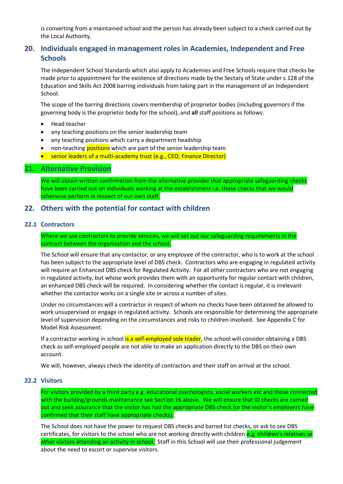is converting from a maintained school and the person has already been subject to a check carried out by the Local Authority.

## <span id="page-18-0"></span>**20. Individuals engaged in management roles in Academies, Independent and Free Schools**

The Independent School Standards which also apply to Academies and Free Schools require that checks be made prior to appointment for the existence of directions made by the Sectary of State under s.128 of the Education and Skills Act 2008 barring individuals from taking part in the management of an Independent School.

The scope of the barring directions covers membership of proprietor bodies (including governors if the governing body is the proprietor body for the school), and **all** staff positions as follows:

- Head teacher
- any teaching positions on the senior leadership team
- any teaching positions which carry a department headship
- non-teaching **positions** which are part of the senior leadership team
- senior leaders of a multi-academy trust (e.g., CEO, Finance Director)

#### <span id="page-18-1"></span>**21. Alternative Provision**

We will obtain written confirmation from the alternative provider that appropriate safeguarding checks have been carried out on individuals working at the establishment i.e. those checks that we would otherwise perform in respect of our own staff.

#### <span id="page-18-2"></span>**22. Others with the potential for contact with children**

#### <span id="page-18-3"></span>**22.1 Contractors**

Where we use contractors to provide services, we will set out our safeguarding requirements in the contract between the organisation and the school.

The School will ensure that any contactor, or any employee of the contractor, who is to work at the school has been subject to the appropriate level of DBS check. Contractors who are engaging in regulated activity will require an Enhanced DBS check for Regulated Activity. For all other contractors who are not engaging in regulated activity, but whose work provides them with an opportunity for regular contact with children, an enhanced DBS check will be required. In considering whether the contact is regular, it is irrelevant whether the contactor works on a single site or across a number of sites.

Under no circumstances will a contractor in respect of whom no checks have been obtained be allowed to work unsupervised or engage in regulated activity. Schools are responsible for determining the appropriate level of supervision depending on the circumstances and risks to children involved. See Appendix C for Model Risk Assessment.

If a contractor working in school is a self-employed sole trader, the school will consider obtaining a DBS check as self-employed people are not able to make an application directly to the DBS on their own account.

We will, however, always check the identity of contractors and their staff on arrival at the school.

#### <span id="page-18-4"></span>**22.2 Visitors**

For visitors provided by a third party e.g. educational psychologists, social workers etc and those connected with the building/grounds maintenance see Section 16 above. We will ensure that ID checks are carried out and seek assurance that the visitor has had the appropriate DBS check (or the visitor's employers have confirmed that their staff have appropriate checks).

The School does not have the power to request DBS checks and barred list checks, or ask to see DBS certificates, for visitors to the school who are not working directly with children e.g. children's relatives or other visitors attending an activity in school. Staff in this School will use their professional judgement about the need to escort or supervise visitors.